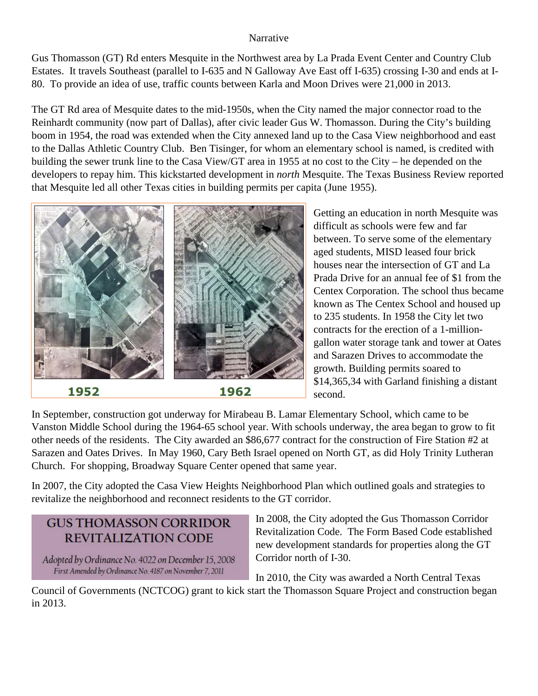## Narrative

Gus Thomasson (GT) Rd enters Mesquite in the Northwest area by La Prada Event Center and Country Club Estates. It travels Southeast (parallel to I-635 and N Galloway Ave East off I-635) crossing I-30 and ends at I-80. To provide an idea of use, traffic counts between Karla and Moon Drives were 21,000 in 2013.

The GT Rd area of Mesquite dates to the mid-1950s, when the City named the major connector road to the Reinhardt community (now part of Dallas), after civic leader Gus W. Thomasson. During the City's building boom in 1954, the road was extended when the City annexed land up to the Casa View neighborhood and east to the Dallas Athletic Country Club. Ben Tisinger, for whom an elementary school is named, is credited with building the sewer trunk line to the Casa View/GT area in 1955 at no cost to the City – he depended on the developers to repay him. This kickstarted development in *north* Mesquite. The Texas Business Review reported that Mesquite led all other Texas cities in building permits per capita (June 1955).



Getting an education in north Mesquite was difficult as schools were few and far between. To serve some of the elementary aged students, MISD leased four brick houses near the intersection of GT and La Prada Drive for an annual fee of \$1 from the Centex Corporation. The school thus became known as The Centex School and housed up to 235 students. In 1958 the City let two contracts for the erection of a 1-milliongallon water storage tank and tower at Oates and Sarazen Drives to accommodate the growth. Building permits soared to \$14,365,34 with Garland finishing a distant second.

In September, construction got underway for Mirabeau B. Lamar Elementary School, which came to be Vanston Middle School during the 1964-65 school year. With schools underway, the area began to grow to fit other needs of the residents. The City awarded an \$86,677 contract for the construction of Fire Station #2 at Sarazen and Oates Drives. In May 1960, Cary Beth Israel opened on North GT, as did Holy Trinity Lutheran Church. For shopping, Broadway Square Center opened that same year.

In 2007, the City adopted the Casa View Heights Neighborhood Plan which outlined goals and strategies to revitalize the neighborhood and reconnect residents to the GT corridor.

## **GUS THOMASSON CORRIDOR** REVITALIZATION CODE

Adopted by Ordinance No. 4022 on December 15, 2008 First Amended by Ordinance No. 4187 on November 7, 2011

In 2008, the City adopted the Gus Thomasson Corridor Revitalization Code. The Form Based Code established new development standards for properties along the GT Corridor north of I-30.

In 2010, the City was awarded a North Central Texas

Council of Governments (NCTCOG) grant to kick start the Thomasson Square Project and construction began in 2013.